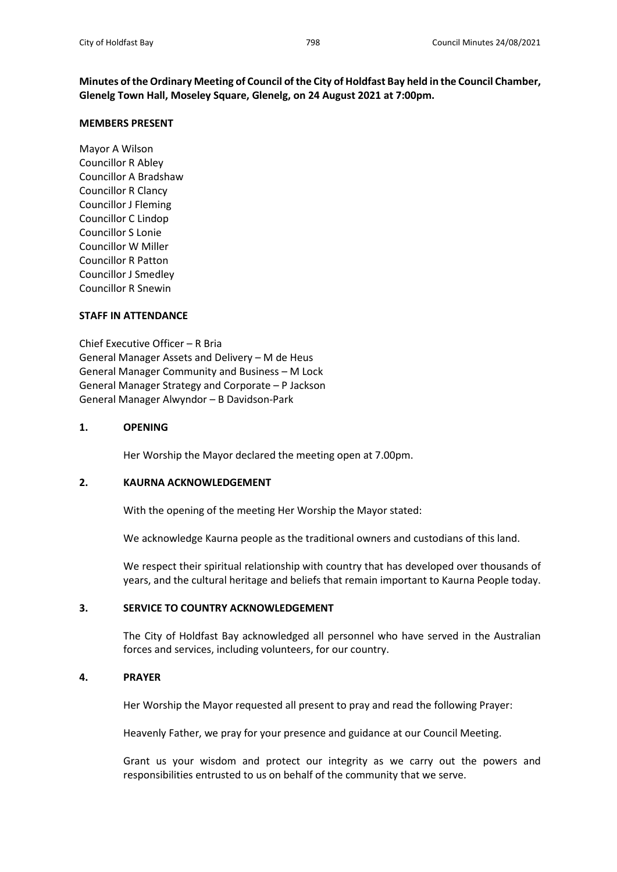**Minutes of the Ordinary Meeting of Council of the City of Holdfast Bay held in the Council Chamber, Glenelg Town Hall, Moseley Square, Glenelg, on 24 August 2021 at 7:00pm.**

### **MEMBERS PRESENT**

Mayor A Wilson Councillor R Abley Councillor A Bradshaw Councillor R Clancy Councillor J Fleming Councillor C Lindop Councillor S Lonie Councillor W Miller Councillor R Patton Councillor J Smedley Councillor R Snewin

## **STAFF IN ATTENDANCE**

Chief Executive Officer – R Bria General Manager Assets and Delivery – M de Heus General Manager Community and Business – M Lock General Manager Strategy and Corporate – P Jackson General Manager Alwyndor – B Davidson-Park

## **1. OPENING**

Her Worship the Mayor declared the meeting open at 7.00pm.

## **2. KAURNA ACKNOWLEDGEMENT**

With the opening of the meeting Her Worship the Mayor stated:

We acknowledge Kaurna people as the traditional owners and custodians of this land.

We respect their spiritual relationship with country that has developed over thousands of years, and the cultural heritage and beliefs that remain important to Kaurna People today.

# **3. SERVICE TO COUNTRY ACKNOWLEDGEMENT**

The City of Holdfast Bay acknowledged all personnel who have served in the Australian forces and services, including volunteers, for our country.

## **4. PRAYER**

Her Worship the Mayor requested all present to pray and read the following Prayer:

Heavenly Father, we pray for your presence and guidance at our Council Meeting.

Grant us your wisdom and protect our integrity as we carry out the powers and responsibilities entrusted to us on behalf of the community that we serve.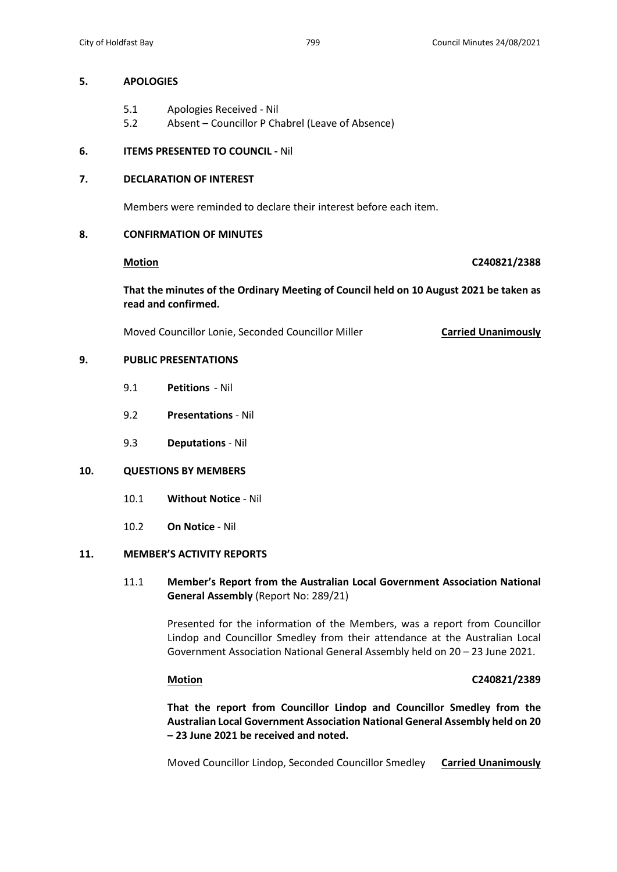## **5. APOLOGIES**

- 5.1 Apologies Received Nil
- 5.2 Absent Councillor P Chabrel (Leave of Absence)

# **6. ITEMS PRESENTED TO COUNCIL -** Nil

# **7. DECLARATION OF INTEREST**

Members were reminded to declare their interest before each item.

# **8. CONFIRMATION OF MINUTES**

## **Motion C240821/2388**

**That the minutes of the Ordinary Meeting of Council held on 10 August 2021 be taken as read and confirmed.**

Moved Councillor Lonie, Seconded Councillor Miller **Carried Unanimously**

# **9. PUBLIC PRESENTATIONS**

- 9.1 **Petitions** Nil
- 9.2 **Presentations** Nil
- 9.3 **Deputations** Nil

## **10. QUESTIONS BY MEMBERS**

- 10.1 **Without Notice** Nil
- 10.2 **On Notice** Nil

## **11. MEMBER'S ACTIVITY REPORTS**

# 11.1 **Member's Report from the Australian Local Government Association National General Assembly** (Report No: 289/21)

Presented for the information of the Members, was a report from Councillor Lindop and Councillor Smedley from their attendance at the Australian Local Government Association National General Assembly held on 20 – 23 June 2021.

# **Motion C240821/2389**

**That the report from Councillor Lindop and Councillor Smedley from the Australian Local Government Association National General Assembly held on 20 – 23 June 2021 be received and noted.**

Moved Councillor Lindop, Seconded Councillor Smedley **Carried Unanimously**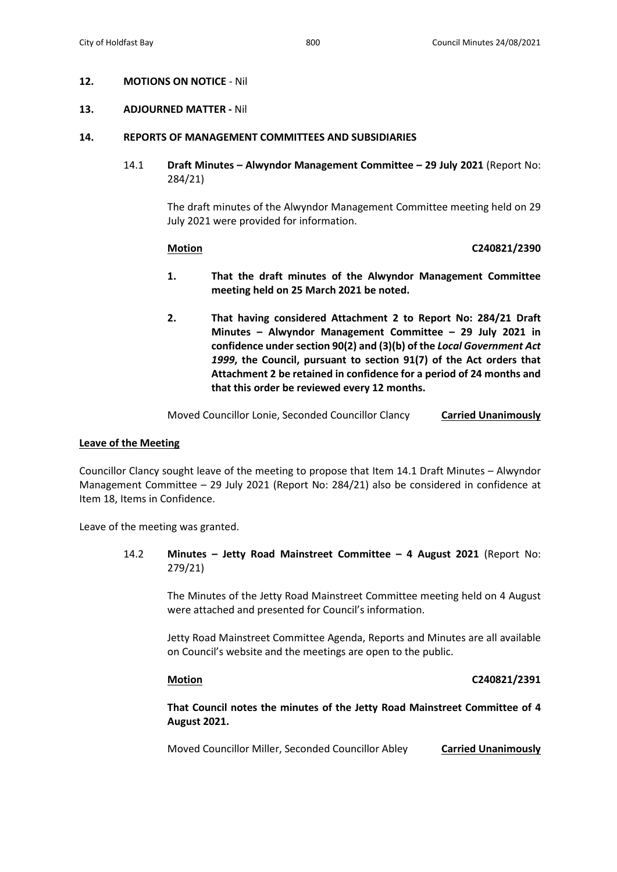## **12. MOTIONS ON NOTICE** - Nil

### **13. ADJOURNED MATTER -** Nil

### **14. REPORTS OF MANAGEMENT COMMITTEES AND SUBSIDIARIES**

14.1 **Draft Minutes – Alwyndor Management Committee – 29 July 2021** (Report No: 284/21)

> The draft minutes of the Alwyndor Management Committee meeting held on 29 July 2021 were provided for information.

### **Motion C240821/2390**

- **1. That the draft minutes of the Alwyndor Management Committee meeting held on 25 March 2021 be noted.**
- **2. That having considered Attachment 2 to Report No: 284/21 Draft Minutes – Alwyndor Management Committee – 29 July 2021 in confidence under section 90(2) and (3)(b) of the** *Local Government Act 1999***, the Council, pursuant to section 91(7) of the Act orders that Attachment 2 be retained in confidence for a period of 24 months and that this order be reviewed every 12 months.**

Moved Councillor Lonie, Seconded Councillor Clancy **Carried Unanimously**

### **Leave of the Meeting**

Councillor Clancy sought leave of the meeting to propose that Item 14.1 Draft Minutes – Alwyndor Management Committee – 29 July 2021 (Report No: 284/21) also be considered in confidence at Item 18, Items in Confidence.

Leave of the meeting was granted.

14.2 **Minutes – Jetty Road Mainstreet Committee – 4 August 2021** (Report No: 279/21)

> The Minutes of the Jetty Road Mainstreet Committee meeting held on 4 August were attached and presented for Council's information.

> Jetty Road Mainstreet Committee Agenda, Reports and Minutes are all available on Council's website and the meetings are open to the public.

**Motion C240821/2391**

**That Council notes the minutes of the Jetty Road Mainstreet Committee of 4 August 2021.**

Moved Councillor Miller, Seconded Councillor Abley **Carried Unanimously**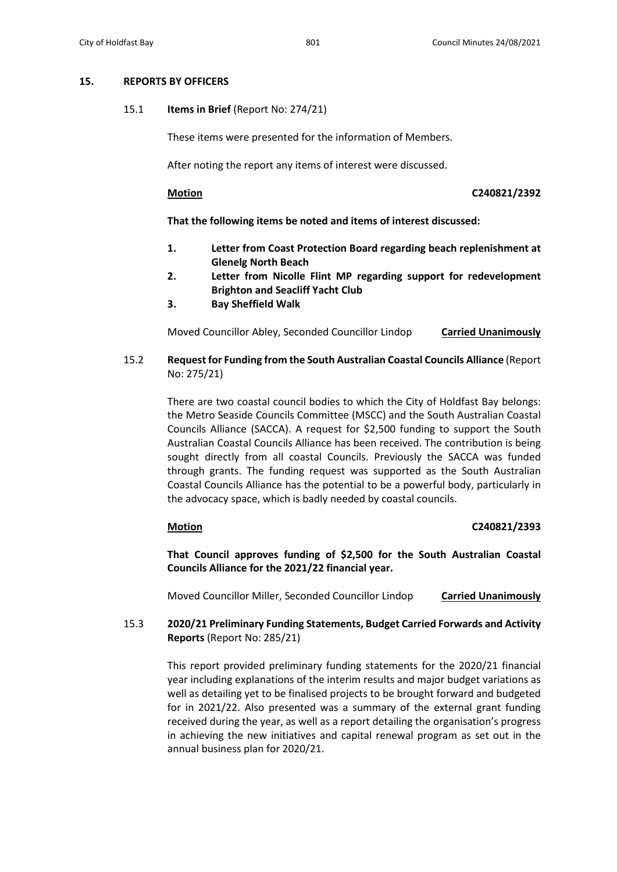## **15. REPORTS BY OFFICERS**

15.1 **Items in Brief** (Report No: 274/21)

These items were presented for the information of Members.

After noting the report any items of interest were discussed.

**Motion C240821/2392**

**That the following items be noted and items of interest discussed:** 

- **1. Letter from Coast Protection Board regarding beach replenishment at Glenelg North Beach**
- **2. Letter from Nicolle Flint MP regarding support for redevelopment Brighton and Seacliff Yacht Club**
- **3. Bay Sheffield Walk**

Moved Councillor Abley, Seconded Councillor Lindop **Carried Unanimously**

15.2 **Request for Funding from the South Australian Coastal Councils Alliance** (Report No: 275/21)

> There are two coastal council bodies to which the City of Holdfast Bay belongs: the Metro Seaside Councils Committee (MSCC) and the South Australian Coastal Councils Alliance (SACCA). A request for \$2,500 funding to support the South Australian Coastal Councils Alliance has been received. The contribution is being sought directly from all coastal Councils. Previously the SACCA was funded through grants. The funding request was supported as the South Australian Coastal Councils Alliance has the potential to be a powerful body, particularly in the advocacy space, which is badly needed by coastal councils.

# **Motion C240821/2393**

**That Council approves funding of \$2,500 for the South Australian Coastal Councils Alliance for the 2021/22 financial year.**

Moved Councillor Miller, Seconded Councillor Lindop **Carried Unanimously**

15.3 **2020/21 Preliminary Funding Statements, Budget Carried Forwards and Activity Reports** (Report No: 285/21)

> This report provided preliminary funding statements for the 2020/21 financial year including explanations of the interim results and major budget variations as well as detailing yet to be finalised projects to be brought forward and budgeted for in 2021/22. Also presented was a summary of the external grant funding received during the year, as well as a report detailing the organisation's progress in achieving the new initiatives and capital renewal program as set out in the annual business plan for 2020/21.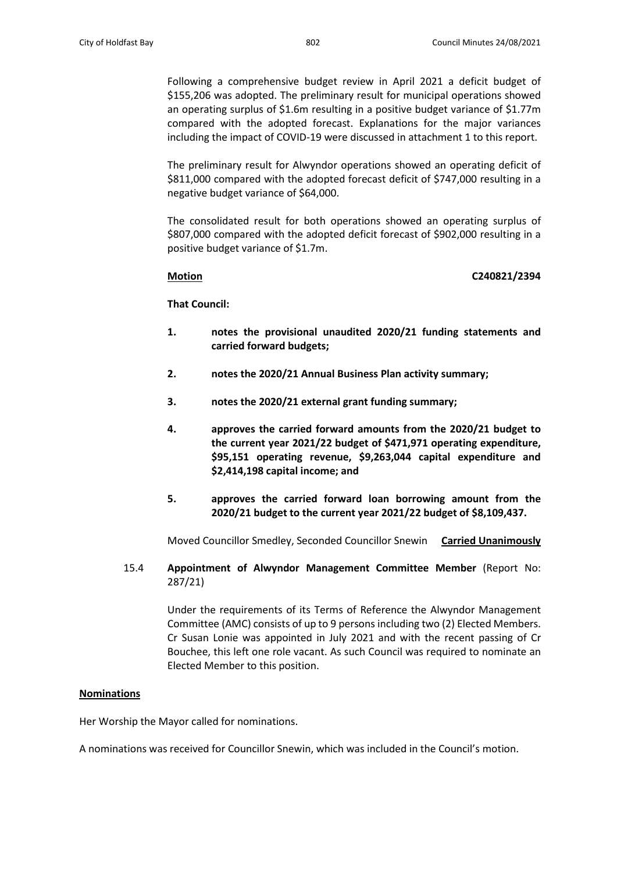Following a comprehensive budget review in April 2021 a deficit budget of \$155,206 was adopted. The preliminary result for municipal operations showed an operating surplus of \$1.6m resulting in a positive budget variance of \$1.77m compared with the adopted forecast. Explanations for the major variances including the impact of COVID-19 were discussed in attachment 1 to this report.

The preliminary result for Alwyndor operations showed an operating deficit of \$811,000 compared with the adopted forecast deficit of \$747,000 resulting in a negative budget variance of \$64,000.

The consolidated result for both operations showed an operating surplus of \$807,000 compared with the adopted deficit forecast of \$902,000 resulting in a positive budget variance of \$1.7m.

## **Motion C240821/2394**

**That Council:**

- **1. notes the provisional unaudited 2020/21 funding statements and carried forward budgets;**
- **2. notes the 2020/21 Annual Business Plan activity summary;**
- **3. notes the 2020/21 external grant funding summary;**
- **4. approves the carried forward amounts from the 2020/21 budget to the current year 2021/22 budget of \$471,971 operating expenditure, \$95,151 operating revenue, \$9,263,044 capital expenditure and \$2,414,198 capital income; and**
- **5. approves the carried forward loan borrowing amount from the 2020/21 budget to the current year 2021/22 budget of \$8,109,437.**

Moved Councillor Smedley, Seconded Councillor Snewin **Carried Unanimously**

15.4 **Appointment of Alwyndor Management Committee Member** (Report No: 287/21)

> Under the requirements of its Terms of Reference the Alwyndor Management Committee (AMC) consists of up to 9 persons including two (2) Elected Members. Cr Susan Lonie was appointed in July 2021 and with the recent passing of Cr Bouchee, this left one role vacant. As such Council was required to nominate an Elected Member to this position.

## **Nominations**

Her Worship the Mayor called for nominations.

A nominations was received for Councillor Snewin, which was included in the Council's motion.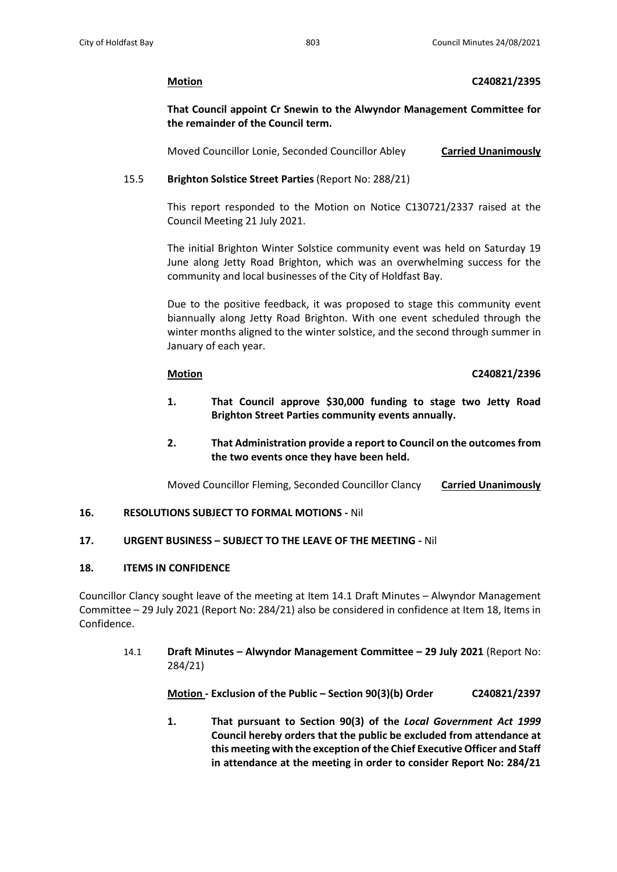## **Motion C240821/2395**

**That Council appoint Cr Snewin to the Alwyndor Management Committee for the remainder of the Council term.**

Moved Councillor Lonie, Seconded Councillor Abley **Carried Unanimously**

# 15.5 **Brighton Solstice Street Parties** (Report No: 288/21)

This report responded to the Motion on Notice C130721/2337 raised at the Council Meeting 21 July 2021.

The initial Brighton Winter Solstice community event was held on Saturday 19 June along Jetty Road Brighton, which was an overwhelming success for the community and local businesses of the City of Holdfast Bay.

Due to the positive feedback, it was proposed to stage this community event biannually along Jetty Road Brighton. With one event scheduled through the winter months aligned to the winter solstice, and the second through summer in January of each year.

# **Motion C240821/2396**

- **1. That Council approve \$30,000 funding to stage two Jetty Road Brighton Street Parties community events annually.**
- **2. That Administration provide a report to Council on the outcomes from the two events once they have been held.**

Moved Councillor Fleming, Seconded Councillor Clancy **Carried Unanimously**

# **16. RESOLUTIONS SUBJECT TO FORMAL MOTIONS -** Nil

# **17. URGENT BUSINESS – SUBJECT TO THE LEAVE OF THE MEETING -** Nil

# **18. ITEMS IN CONFIDENCE**

Councillor Clancy sought leave of the meeting at Item 14.1 Draft Minutes – Alwyndor Management Committee – 29 July 2021 (Report No: 284/21) also be considered in confidence at Item 18, Items in Confidence.

14.1 **Draft Minutes – Alwyndor Management Committee – 29 July 2021** (Report No: 284/21)

**Motion - Exclusion of the Public – Section 90(3)(b) Order C240821/2397**

**1. That pursuant to Section 90(3) of the** *Local Government Act 1999* **Council hereby orders that the public be excluded from attendance at this meeting with the exception of the Chief Executive Officer and Staff in attendance at the meeting in order to consider Report No: 284/21**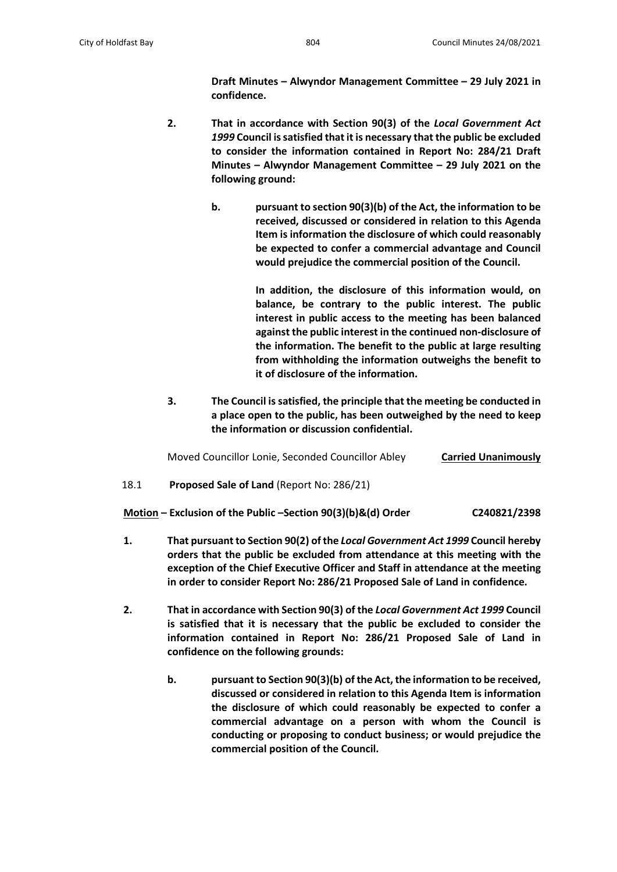**Draft Minutes – Alwyndor Management Committee – 29 July 2021 in confidence.**

- **2. That in accordance with Section 90(3) of the** *Local Government Act 1999* **Council issatisfied that it is necessary that the public be excluded to consider the information contained in Report No: 284/21 Draft Minutes – Alwyndor Management Committee – 29 July 2021 on the following ground:**
	- **b. pursuant to section 90(3)(b) of the Act, the information to be received, discussed or considered in relation to this Agenda Item is information the disclosure of which could reasonably be expected to confer a commercial advantage and Council would prejudice the commercial position of the Council.**

**In addition, the disclosure of this information would, on balance, be contrary to the public interest. The public interest in public access to the meeting has been balanced against the public interest in the continued non-disclosure of the information. The benefit to the public at large resulting from withholding the information outweighs the benefit to it of disclosure of the information.** 

**3. The Council is satisfied, the principle that the meeting be conducted in a place open to the public, has been outweighed by the need to keep the information or discussion confidential.**

Moved Councillor Lonie, Seconded Councillor Abley **Carried Unanimously**

18.1 **Proposed Sale of Land** (Report No: 286/21)

**Motion – Exclusion of the Public –Section 90(3)(b)&(d) Order C240821/2398**

- **1. That pursuant to Section 90(2) of the** *Local Government Act 1999* **Council hereby orders that the public be excluded from attendance at this meeting with the exception of the Chief Executive Officer and Staff in attendance at the meeting in order to consider Report No: 286/21 Proposed Sale of Land in confidence.**
- **2. That in accordance with Section 90(3) of the** *Local Government Act 1999* **Council is satisfied that it is necessary that the public be excluded to consider the information contained in Report No: 286/21 Proposed Sale of Land in confidence on the following grounds:**
	- **b. pursuant to Section 90(3)(b) of the Act, the information to be received, discussed or considered in relation to this Agenda Item is information the disclosure of which could reasonably be expected to confer a commercial advantage on a person with whom the Council is conducting or proposing to conduct business; or would prejudice the commercial position of the Council.**